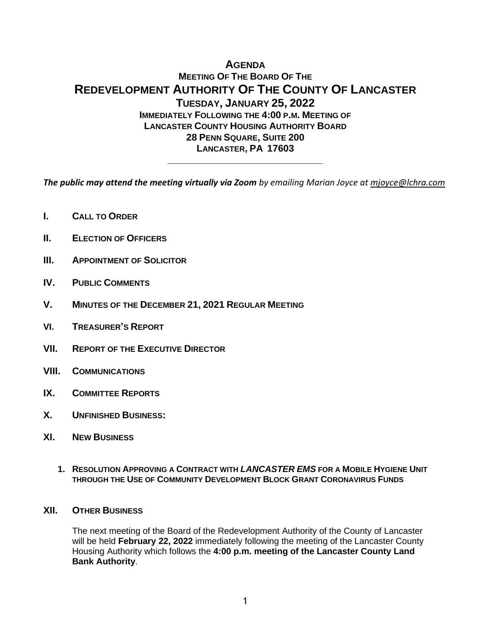# **AGENDA MEETING OF THE BOARD OF THE REDEVELOPMENT AUTHORITY OF THE COUNTY OF LANCASTER TUESDAY, JANUARY 25, 2022 IMMEDIATELY FOLLOWING THE 4:00 P.M. MEETING OF LANCASTER COUNTY HOUSING AUTHORITY BOARD 28 PENN SQUARE, SUITE 200 LANCASTER, PA 17603**

*The public may attend the meeting virtually via Zoom by emailing Marian Joyce at [mjoyce@lchra.com](mailto:mjoyce@lchra.com)* 

**\_\_\_\_\_\_\_\_\_\_\_\_\_\_\_\_\_\_\_\_\_\_\_\_\_\_\_\_\_**

- **I. CALL TO ORDER**
- **II. ELECTION OF OFFICERS**
- **III. APPOINTMENT OF SOLICITOR**
- **IV. PUBLIC COMMENTS**
- **V. MINUTES OF THE DECEMBER 21, 2021 REGULAR MEETING**
- **VI. TREASURER'S REPORT**
- **VII. REPORT OF THE EXECUTIVE DIRECTOR**
- **VIII. COMMUNICATIONS**
- **IX. COMMITTEE REPORTS**
- **X. UNFINISHED BUSINESS:**
- **XI. NEW BUSINESS**
	- **1. RESOLUTION APPROVING A CONTRACT WITH** *LANCASTER EMS* **FOR A MOBILE HYGIENE UNIT THROUGH THE USE OF COMMUNITY DEVELOPMENT BLOCK GRANT CORONAVIRUS FUNDS**

#### **XII. OTHER BUSINESS**

The next meeting of the Board of the Redevelopment Authority of the County of Lancaster will be held **February 22, 2022** immediately following the meeting of the Lancaster County Housing Authority which follows the **4:00 p.m. meeting of the Lancaster County Land Bank Authority**.